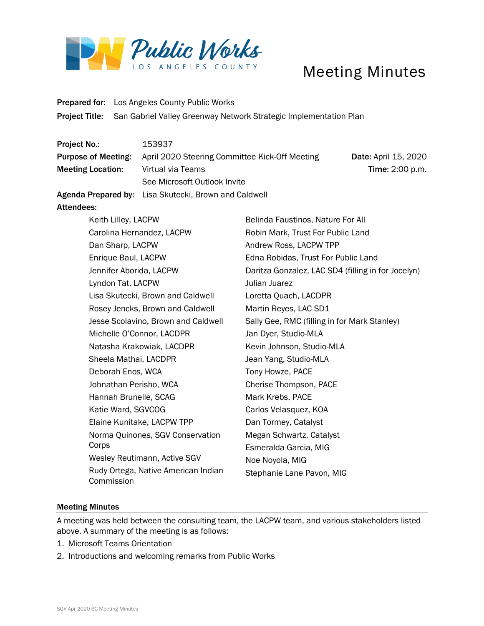

## Meeting Minutes

Prepared for: Los Angeles County Public Works Project Title: San Gabriel Valley Greenway Network Strategic Implementation Plan

| <b>Project No.:</b>        | 153937                                                |                             |
|----------------------------|-------------------------------------------------------|-----------------------------|
| <b>Purpose of Meeting:</b> | April 2020 Steering Committee Kick-Off Meeting        | <b>Date: April 15, 2020</b> |
| <b>Meeting Location:</b>   | Virtual via Teams                                     | <b>Time: 2:00 p.m.</b>      |
|                            | See Microsoft Outlook Invite                          |                             |
|                            | Agenda Prepared by: Lisa Skutecki, Brown and Caldwell |                             |

## Attendees:

| Keith Lilley, LACPW                               | Belinda Faustinos, Nature For All                  |  |
|---------------------------------------------------|----------------------------------------------------|--|
| Carolina Hernandez, LACPW                         | Robin Mark, Trust For Public Land                  |  |
| Dan Sharp, LACPW                                  | Andrew Ross, LACPW TPP                             |  |
| Enrique Baul, LACPW                               | Edna Robidas, Trust For Public Land                |  |
| Jennifer Aborida, LACPW                           | Daritza Gonzalez, LAC SD4 (filling in for Jocelyn) |  |
| Lyndon Tat, LACPW                                 | Julian Juarez                                      |  |
| Lisa Skutecki, Brown and Caldwell                 | Loretta Quach, LACDPR                              |  |
| Rosey Jencks, Brown and Caldwell                  | Martin Reyes, LAC SD1                              |  |
| Jesse Scolavino, Brown and Caldwell               | Sally Gee, RMC (filling in for Mark Stanley)       |  |
| Michelle O'Connor, LACDPR                         | Jan Dyer, Studio-MLA                               |  |
| Natasha Krakowiak, LACDPR                         | Kevin Johnson, Studio-MLA                          |  |
| Sheela Mathai, LACDPR                             | Jean Yang, Studio-MLA                              |  |
| Deborah Enos, WCA                                 | Tony Howze, PACE                                   |  |
| Johnathan Perisho, WCA                            | Cherise Thompson, PACE                             |  |
| Hannah Brunelle, SCAG                             | Mark Krebs, PACE                                   |  |
| Katie Ward, SGVCOG                                | Carlos Velasquez, KOA                              |  |
| Elaine Kunitake, LACPW TPP                        | Dan Tormey, Catalyst                               |  |
| Norma Quinones, SGV Conservation                  | Megan Schwartz, Catalyst                           |  |
| Corps                                             | Esmeralda Garcia, MIG                              |  |
| Wesley Reutimann, Active SGV                      | Noe Noyola, MIG                                    |  |
| Rudy Ortega, Native American Indian<br>Commission | Stephanie Lane Pavon, MIG                          |  |
|                                                   |                                                    |  |

## Meeting Minutes

A meeting was held between the consulting team, the LACPW team, and various stakeholders listed above. A summary of the meeting is as follows:

- 1. Microsoft Teams Orientation
- 2. Introductions and welcoming remarks from Public Works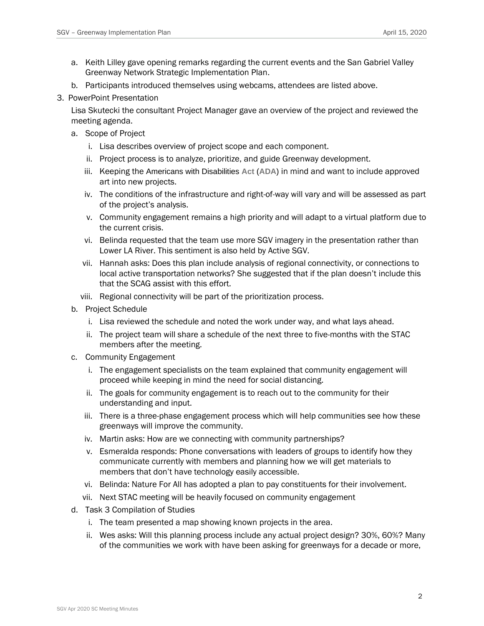- a. Keith Lilley gave opening remarks regarding the current events and the San Gabriel Valley Greenway Network Strategic Implementation Plan.
- b. Participants introduced themselves using webcams, attendees are listed above.
- 3. PowerPoint Presentation

Lisa Skutecki the consultant Project Manager gave an overview of the project and reviewed the meeting agenda.

- a. Scope of Project
	- i. Lisa describes overview of project scope and each component.
	- ii. Project process is to analyze, prioritize, and guide Greenway development.
	- iii. Keeping the Americans with Disabilities **Act** (**ADA**) in mind and want to include approved art into new projects.
	- iv. The conditions of the infrastructure and right-of-way will vary and will be assessed as part of the project's analysis.
	- v. Community engagement remains a high priority and will adapt to a virtual platform due to the current crisis.
	- vi. Belinda requested that the team use more SGV imagery in the presentation rather than Lower LA River. This sentiment is also held by Active SGV.
	- vii. Hannah asks: Does this plan include analysis of regional connectivity, or connections to local active transportation networks? She suggested that if the plan doesn't include this that the SCAG assist with this effort.
	- viii. Regional connectivity will be part of the prioritization process.
- b. Project Schedule
	- i. Lisa reviewed the schedule and noted the work under way, and what lays ahead.
	- ii. The project team will share a schedule of the next three to five-months with the STAC members after the meeting.
- c. Community Engagement
	- i. The engagement specialists on the team explained that community engagement will proceed while keeping in mind the need for social distancing.
	- ii. The goals for community engagement is to reach out to the community for their understanding and input.
	- iii. There is a three-phase engagement process which will help communities see how these greenways will improve the community.
	- iv. Martin asks: How are we connecting with community partnerships?
	- v. Esmeralda responds: Phone conversations with leaders of groups to identify how they communicate currently with members and planning how we will get materials to members that don't have technology easily accessible.
	- vi. Belinda: Nature For All has adopted a plan to pay constituents for their involvement.
	- vii. Next STAC meeting will be heavily focused on community engagement
- d. Task 3 Compilation of Studies
	- i. The team presented a map showing known projects in the area.
	- ii. Wes asks: Will this planning process include any actual project design? 30%, 60%? Many of the communities we work with have been asking for greenways for a decade or more,